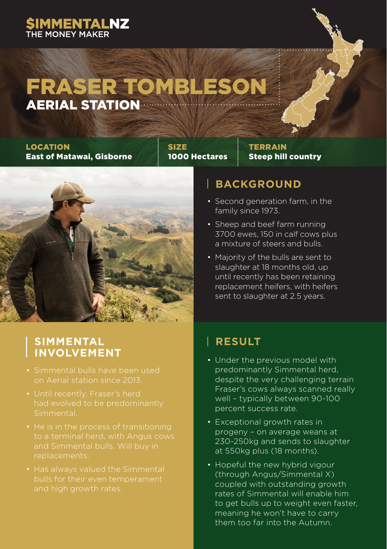### **SIMMENTALNZ**

### FRASER TOMBLESON AERIAL STATION

#### LOCATION East of Matawai, Gisborne

SIZE 1000 Hectares **TERRAIN** Steep hill country



## **SIMMENTAL**

- 
- 
- replacements.
- 

#### **BACKGROUND**

- Second generation farm, in the family since 1973.
- Sheep and beef farm running 3700 ewes, 150 in calf cows plus a mixture of steers and bulls.
- Majority of the bulls are sent to slaughter at 18 months old, up until recently has been retaining replacement heifers, with heifers sent to slaughter at 2.5 years.

#### **RESULT**

- Under the previous model with predominantly Simmental herd, despite the very challenging terrain Fraser's cows always scanned really well – typically between 90-100 percent success rate.
- Exceptional growth rates in progeny – on average weans at 230-250kg and sends to slaughter at 550kg plus (18 months).
- Hopeful the new hybrid vigour (through Angus/Simmental X) coupled with outstanding growth rates of Simmental will enable him to get bulls up to weight even faster, meaning he won't have to carry them too far into the Autumn.